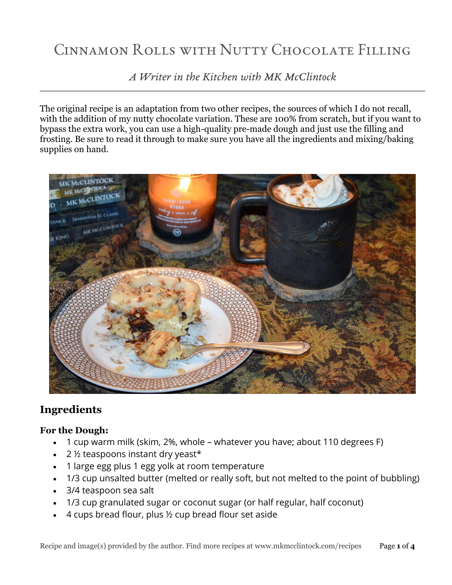# Cinnamon Rolls with Nutty Chocolate Filling

*A Writer in the Kitchen with MK McClintock*

The original recipe is an adaptation from two other recipes, the sources of which I do not recall, with the addition of my nutty chocolate variation. These are 100% from scratch, but if you want to bypass the extra work, you can use a high-quality pre-made dough and just use the filling and frosting. Be sure to read it through to make sure you have all the ingredients and mixing/baking supplies on hand.



## **Ingredients**

#### **For the Dough:**

- 1 cup warm milk (skim, 2%, whole whatever you have; about 110 degrees F)
- $\cdot$  2  $\frac{1}{2}$  teaspoons instant dry yeast\*
- 1 large egg plus 1 egg yolk at room temperature
- 1/3 cup unsalted butter (melted or really soft, but not melted to the point of bubbling)
- 3/4 teaspoon sea salt
- 1/3 cup granulated sugar or coconut sugar (or half regular, half coconut)
- 4 cups bread flour, plus ½ cup bread flour set aside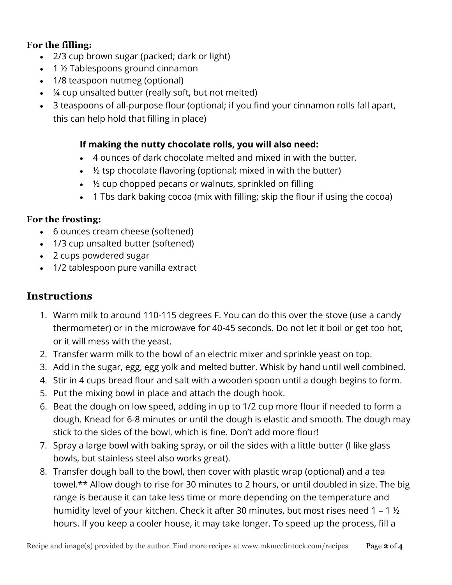#### **For the filling:**

- 2/3 cup brown sugar (packed; dark or light)
- 1 ½ Tablespoons ground cinnamon
- 1/8 teaspoon nutmeg (optional)
- ¼ cup unsalted butter (really soft, but not melted)
- 3 teaspoons of all-purpose flour (optional; if you find your cinnamon rolls fall apart, this can help hold that filling in place)

### **If making the nutty chocolate rolls, you will also need:**

- 4 ounces of dark chocolate melted and mixed in with the butter.
- $\bullet$  % tsp chocolate flavoring (optional; mixed in with the butter)
- 1/2 cup chopped pecans or walnuts, sprinkled on filling
- 1 Tbs dark baking cocoa (mix with filling; skip the flour if using the cocoa)

#### **For the frosting:**

- 6 ounces cream cheese (softened)
- 1/3 cup unsalted butter (softened)
- 2 cups powdered sugar
- 1/2 tablespoon pure vanilla extract

## **Instructions**

- 1. Warm milk to around 110-115 degrees F. You can do this over the stove (use a candy thermometer) or in the microwave for 40-45 seconds. Do not let it boil or get too hot, or it will mess with the yeast.
- 2. Transfer warm milk to the bowl of an electric mixer and sprinkle yeast on top.
- 3. Add in the sugar, egg, egg yolk and melted butter. Whisk by hand until well combined.
- 4. Stir in 4 cups bread flour and salt with a wooden spoon until a dough begins to form.
- 5. Put the mixing bowl in place and attach the dough hook.
- 6. Beat the dough on low speed, adding in up to 1/2 cup more flour if needed to form a dough. Knead for 6-8 minutes or until the dough is elastic and smooth. The dough may stick to the sides of the bowl, which is fine. Don't add more flour!
- 7. Spray a large bowl with baking spray, or oil the sides with a little butter (I like glass bowls, but stainless steel also works great).
- 8. Transfer dough ball to the bowl, then cover with plastic wrap (optional) and a tea towel.\*\* Allow dough to rise for 30 minutes to 2 hours, or until doubled in size. The big range is because it can take less time or more depending on the temperature and humidity level of your kitchen. Check it after 30 minutes, but most rises need 1 – 1 ½ hours. If you keep a cooler house, it may take longer. To speed up the process, fill a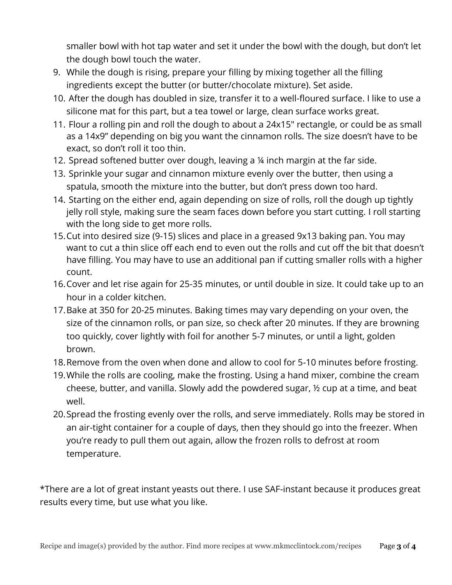smaller bowl with hot tap water and set it under the bowl with the dough, but don't let the dough bowl touch the water.

- 9. While the dough is rising, prepare your filling by mixing together all the filling ingredients except the butter (or butter/chocolate mixture). Set aside.
- 10. After the dough has doubled in size, transfer it to a well-floured surface. I like to use a silicone mat for this part, but a tea towel or large, clean surface works great.
- 11. Flour a rolling pin and roll the dough to about a 24x15" rectangle, or could be as small as a 14x9" depending on big you want the cinnamon rolls. The size doesn't have to be exact, so don't roll it too thin.
- 12. Spread softened butter over dough, leaving a ¼ inch margin at the far side.
- 13. Sprinkle your sugar and cinnamon mixture evenly over the butter, then using a spatula, smooth the mixture into the butter, but don't press down too hard.
- 14. Starting on the either end, again depending on size of rolls, roll the dough up tightly jelly roll style, making sure the seam faces down before you start cutting. I roll starting with the long side to get more rolls.
- 15.Cut into desired size (9-15) slices and place in a greased 9x13 baking pan. You may want to cut a thin slice off each end to even out the rolls and cut off the bit that doesn't have filling. You may have to use an additional pan if cutting smaller rolls with a higher count.
- 16.Cover and let rise again for 25-35 minutes, or until double in size. It could take up to an hour in a colder kitchen.
- 17.Bake at 350 for 20-25 minutes. Baking times may vary depending on your oven, the size of the cinnamon rolls, or pan size, so check after 20 minutes. If they are browning too quickly, cover lightly with foil for another 5-7 minutes, or until a light, golden brown.
- 18.Remove from the oven when done and allow to cool for 5-10 minutes before frosting.
- 19.While the rolls are cooling, make the frosting. Using a hand mixer, combine the cream cheese, butter, and vanilla. Slowly add the powdered sugar, ½ cup at a time, and beat well.
- 20.Spread the frosting evenly over the rolls, and serve immediately. Rolls may be stored in an air-tight container for a couple of days, then they should go into the freezer. When you're ready to pull them out again, allow the frozen rolls to defrost at room temperature.

\*There are a lot of great instant yeasts out there. I use SAF-instant because it produces great results every time, but use what you like.